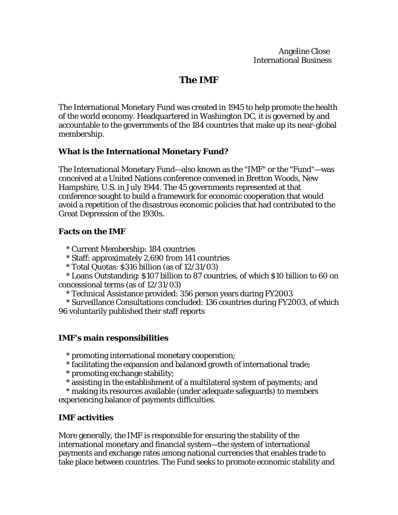# **The IMF**

The International Monetary Fund was created in 1945 to help promote the health of the world economy. Headquartered in Washington DC, it is governed by and accountable to the governments of the 184 countries that make up its near-global membership.

#### **What is the International Monetary Fund?**

The International Monetary Fund—also known as the "IMF" or the "Fund"—was conceived at a United Nations conference convened in Bretton Woods, New Hampshire, U.S. in July 1944. The 45 governments represented at that conference sought to build a framework for economic cooperation that would avoid a repetition of the disastrous economic policies that had contributed to the Great Depression of the 1930s.

#### **Facts on the IMF**

\* Current Membership: 184 countries

\* Staff: approximately 2,690 from 141 countries

\* Total Quotas: \$316 billion (as of 12/31/03)

 \* Loans Outstanding: \$107 billion to 87 countries, of which \$10 billion to 60 on concessional terms (as of 12/31/03)

\* Technical Assistance provided: 356 person years during FY2003

 \* Surveillance Consultations concluded: 136 countries during FY2003, of which 96 voluntarily published their staff reports

### **IMF's main responsibilities**

\* promoting international monetary cooperation;

\* facilitating the expansion and balanced growth of international trade;

\* promoting exchange stability;

\* assisting in the establishment of a multilateral system of payments; and

 \* making its resources available (under adequate safeguards) to members experiencing balance of payments difficulties.

## **IMF activities**

More generally, the IMF is responsible for ensuring the stability of the international monetary and financial system—the system of international payments and exchange rates among national currencies that enables trade to take place between countries. The Fund seeks to promote economic stability and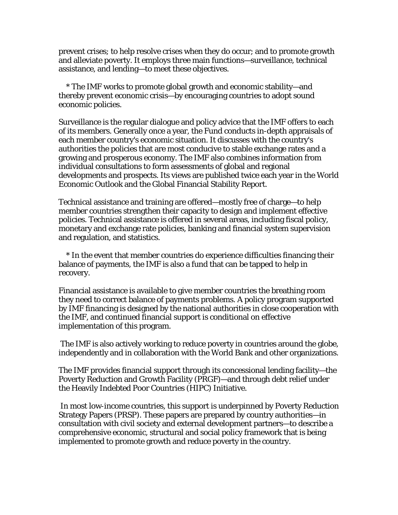prevent crises; to help resolve crises when they do occur; and to promote growth and alleviate poverty. It employs three main functions—surveillance, technical assistance, and lending—to meet these objectives.

 \* The IMF works to promote global growth and economic stability—and thereby prevent economic crisis—by encouraging countries to adopt sound economic policies.

Surveillance is the regular dialogue and policy advice that the IMF offers to each of its members. Generally once a year, the Fund conducts in-depth appraisals of each member country's economic situation. It discusses with the country's authorities the policies that are most conducive to stable exchange rates and a growing and prosperous economy. The IMF also combines information from individual consultations to form assessments of global and regional developments and prospects. Its views are published twice each year in the World Economic Outlook and the Global Financial Stability Report.

Technical assistance and training are offered—mostly free of charge—to help member countries strengthen their capacity to design and implement effective policies. Technical assistance is offered in several areas, including fiscal policy, monetary and exchange rate policies, banking and financial system supervision and regulation, and statistics.

 \* In the event that member countries do experience difficulties financing their balance of payments, the IMF is also a fund that can be tapped to help in recovery.

Financial assistance is available to give member countries the breathing room they need to correct balance of payments problems. A policy program supported by IMF financing is designed by the national authorities in close cooperation with the IMF, and continued financial support is conditional on effective implementation of this program.

 The IMF is also actively working to reduce poverty in countries around the globe, independently and in collaboration with the World Bank and other organizations.

The IMF provides financial support through its concessional lending facility—the Poverty Reduction and Growth Facility (PRGF)—and through debt relief under the Heavily Indebted Poor Countries (HIPC) Initiative.

 In most low-income countries, this support is underpinned by Poverty Reduction Strategy Papers (PRSP). These papers are prepared by country authorities—in consultation with civil society and external development partners—to describe a comprehensive economic, structural and social policy framework that is being implemented to promote growth and reduce poverty in the country.